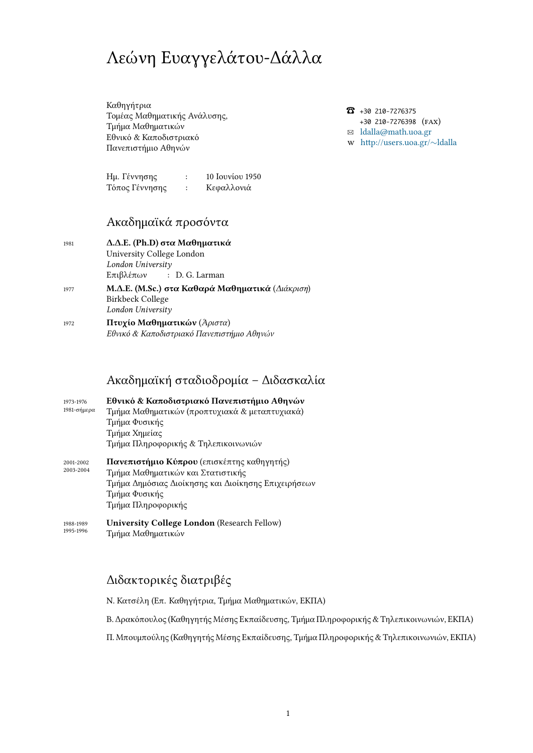# Λεώνη Ευαγγελάτου-Δάλλα

Καθηγήτρια Τομέας Μαθηματικής Ανάλυσης, Τμήμα Μαθηματικών Εθνικό & Καποδιστριακό Πανεπιστήμιο Αθηνών

[Ημ. Γέννησης](http://www.math.uoa.gr) : 10 Ιουνίου 1950 [Τόπος Γέννησης :](http://www.uoa.gr) Κεφαλλονιά

## Ακαδημαϊκά προσόντα

| 1981 | Δ.Δ.Ε. (Ph.D) στα Μαθηματικά                    |
|------|-------------------------------------------------|
|      | University College London                       |
|      | London University                               |
|      | $E\pi$ ιβλέπων : D. G. Larman                   |
| 1977 | Μ.Δ.Ε. (M.Sc.) στα Καθαρά Μαθηματικά (Διάκριση) |
|      | Birkbeck College                                |
|      | London University                               |

<sup>1972</sup> **Πτυχίο Μαθηματικών** (*Άριστα*) *Εθνικό & Καποδιστριακό Πανεπιστήμιο Αθηνών*

### Ακαδημαϊκή σταδιοδρομία – Διδασκαλία

| 1973-1976<br>1981-σήμερα | Εθνικό & Καποδιστριακό Πανεπιστήμιο Αθηνών<br>Τμήμα Μαθηματικών (προπτυχιακά & μεταπτυχιακά)<br>Τμήμα Φυσικής<br>Τμήμα Χημείας<br>Τμήμα Πληροφορικής & Τηλεπικοινωνιών        |
|--------------------------|-------------------------------------------------------------------------------------------------------------------------------------------------------------------------------|
| 2001-2002<br>2003-2004   | Πανεπιστήμιο Κύπρου (επισκέπτης καθηγητής)<br>Τμήμα Μαθηματικών και Στατιστικής<br>Τμήμα Δημόσιας Διοίκησης και Διοίκησης Επιχειρήσεων<br>Τμήμα Φυσικής<br>Τμήμα Πληροφορικής |

1988-1989 1995-1996 **University College London** (Research Fellow) Τμήμα Μαθηματικών

## Διδακτορικές διατριβές

Ν. Κατσέλη (Επ. Καθηγήτρια, Τμήμα Μαθηματικών, ΕΚΠΑ)

Β. Δρακόπουλος (Καθηγητής Μέσης Εκπαίδευσης, Τμήμα Πληροφορικής & Τηλεπικοινωνιών, ΕΚΠΑ)

Π. Μπουμπούλης (Καθηγητής Μέσης Εκπαίδευσης, Τμήμα Πληροφορικής & Τηλεπικοινωνιών, ΕΚΠΑ)

☎ +30 210-7276375 +30 210-7276398 (FAX) ✉ ldalla@math.uoa.gr http://users.uoa.gr/*∼*ldalla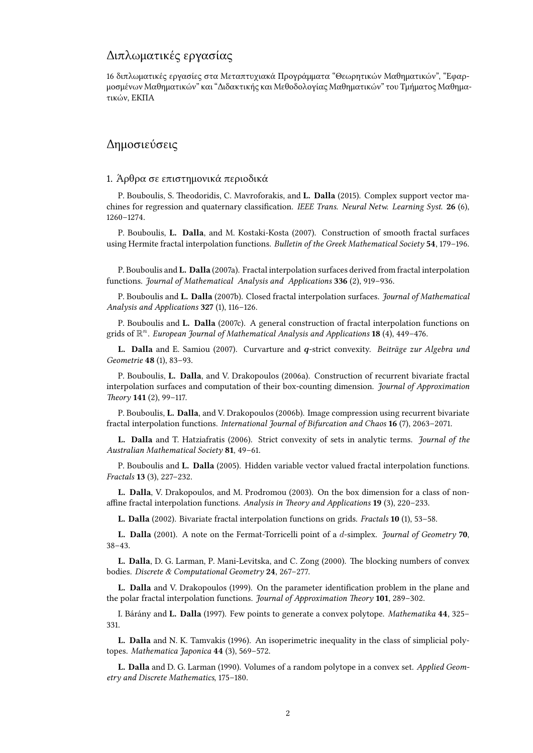# Διπλωματικές εργασίας

16 διπλωματικές εργασίες στα Μεταπτυχιακά Προγράμματα "Θεωρητικών Μαθηματικών", "Εφαρμοσμένων Μαθηματικών" και "Διδακτικής και Μεθοδολογίας Μαθηματικών" του Τμήματος Μαθηματικών, ΕΚΠΑ

#### Δημοσιεύσεις

#### 1. Άρθρα σε επιστημονικά περιοδικά

P. Bouboulis, S. Theodoridis, C. Mavroforakis, and **L. Dalla** (2015). Complex support vector machines for regression and quaternary classification. *IEEE Trans. Neural Netw. Learning Syst.* 26 (6), 1260–1274.

P. Bouboulis, **L. Dalla**, and M. Kostaki-Kosta (2007). Construction of smooth fractal surfaces using Hermite fractal interpolation functions. *Bulletin of the Greek Mathematical Society* 54, 179-196.

P. Bouboulis and **L. Dalla** (2007a). Fractal interpolation surfaces derived from fractal interpolation functions. *Journal of Mathematical Analysis and Applications* (2), 919–936.

P. Bouboulis and **L. Dalla** (2007b). Closed fractal interpolation surfaces. *Journal of Mathematical* Analysis and Applications 327 (1), 116-126.

P. Bouboulis and **L. Dalla** (2007c). A general construction of fractal interpolation functions on grids of R *<sup>n</sup>*. *European Journal of Mathematical Analysis and Applications* (4), 449–476.

**L. Dalla** and E. Samiou (2007). Curvarture and *q*-strict convexity. *Beiträge zur Algebra und Geometrie* 48 (1), 83-93.

P. Bouboulis, **L. Dalla**, and V. Drakopoulos (2006a). Construction of recurrent bivariate fractal interpolation surfaces and computation of their box-counting dimension. *Journal of Approximation* Theory **141** (2), 99-117.

P. Bouboulis, **L. Dalla**, and V. Drakopoulos (2006b). Image compression using recurrent bivariate fractal interpolation functions. *International Journal of Bifurcation and Chaos* **16** (7), 2063–2071.

**L. Dalla** and T. Hatziafratis (2006). Strict convexity of sets in analytic terms. *Journal of the* Australian Mathematical Society 81, 49-61.

P. Bouboulis and **L. Dalla** (2005). Hidden variable vector valued fractal interpolation functions. *Fractals* (3), 227–232.

**L. Dalla**, V. Drakopoulos, and M. Prodromou (2003). On the box dimension for a class of nonaffine fractal interpolation functions. Analysis in Theory and Applications 19 (3), 220-233.

**L. Dalla** (2002). Bivariate fractal interpolation functions on grids. *Fractals* (1), 53–58.

**L. Dalla** (2001). A note on the Fermat-Torricelli point of a *d*-simplex. *Journal of Geometry* 70, 38–43.

**L. Dalla**, D. G. Larman, P. Mani-Levitska, and C. Zong (2000). The blocking numbers of convex bodies. Discrete & Computational Geometry 24, 267-277.

**L. Dalla** and V. Drakopoulos (1999). On the parameter identification problem in the plane and the polar fractal interpolation functions. *Journal of Approximation Theory* 101, 289-302.

I. Bárány and **L. Dalla** (1997). Few points to generate a convex polytope. *Mathematika* , 325– 331.

**L. Dalla** and N. K. Tamvakis (1996). An isoperimetric inequality in the class of simplicial polytopes. *Mathematica Japonica* 44 (3), 569-572.

**L. Dalla** and D. G. Larman (1990). Volumes of a random polytope in a convex set. *Applied Geometry and Discrete Mathematics*, 175–180.